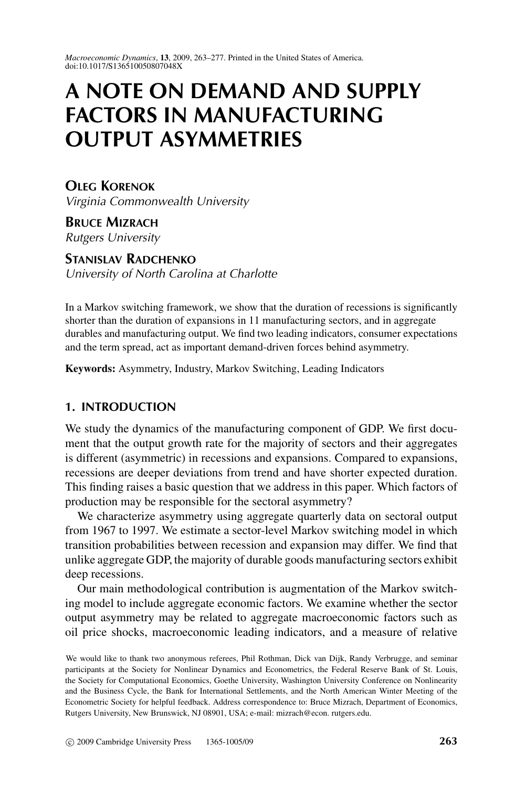*Macroeconomic Dynamics*, **13**, 2009, 263–277. Printed in the United States of America. doi:10.1017/S136510050807048X

# **A NOTE ON DEMAND AND SUPPLY FACTORS IN MANUFACTURING OUTPUT ASYMMETRIES**

**OLEG KORENOK** Virginia Commonwealth University

**BRUCE MIZRACH** Rutgers University

**STANISLAV RADCHENKO**

University of North Carolina at Charlotte

In a Markov switching framework, we show that the duration of recessions is significantly shorter than the duration of expansions in 11 manufacturing sectors, and in aggregate durables and manufacturing output. We find two leading indicators, consumer expectations and the term spread, act as important demand-driven forces behind asymmetry.

**Keywords:** Asymmetry, Industry, Markov Switching, Leading Indicators

# **1. INTRODUCTION**

We study the dynamics of the manufacturing component of GDP. We first document that the output growth rate for the majority of sectors and their aggregates is different (asymmetric) in recessions and expansions. Compared to expansions, recessions are deeper deviations from trend and have shorter expected duration. This finding raises a basic question that we address in this paper. Which factors of production may be responsible for the sectoral asymmetry?

We characterize asymmetry using aggregate quarterly data on sectoral output from 1967 to 1997. We estimate a sector-level Markov switching model in which transition probabilities between recession and expansion may differ. We find that unlike aggregate GDP, the majority of durable goods manufacturing sectors exhibit deep recessions.

Our main methodological contribution is augmentation of the Markov switching model to include aggregate economic factors. We examine whether the sector output asymmetry may be related to aggregate macroeconomic factors such as oil price shocks, macroeconomic leading indicators, and a measure of relative

We would like to thank two anonymous referees, Phil Rothman, Dick van Dijk, Randy Verbrugge, and seminar participants at the Society for Nonlinear Dynamics and Econometrics, the Federal Reserve Bank of St. Louis, the Society for Computational Economics, Goethe University, Washington University Conference on Nonlinearity and the Business Cycle, the Bank for International Settlements, and the North American Winter Meeting of the Econometric Society for helpful feedback. Address correspondence to: Bruce Mizrach, Department of Economics, Rutgers University, New Brunswick, NJ 08901, USA; e-mail: mizrach@econ. rutgers.edu.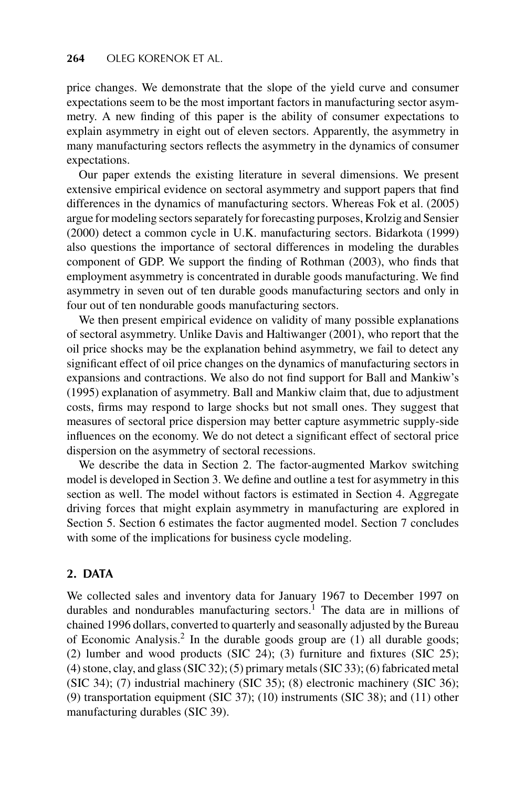price changes. We demonstrate that the slope of the yield curve and consumer expectations seem to be the most important factors in manufacturing sector asymmetry. A new finding of this paper is the ability of consumer expectations to explain asymmetry in eight out of eleven sectors. Apparently, the asymmetry in many manufacturing sectors reflects the asymmetry in the dynamics of consumer expectations.

Our paper extends the existing literature in several dimensions. We present extensive empirical evidence on sectoral asymmetry and support papers that find differences in the dynamics of manufacturing sectors. Whereas Fok et al. (2005) argue for modeling sectors separately for forecasting purposes, Krolzig and Sensier (2000) detect a common cycle in U.K. manufacturing sectors. Bidarkota (1999) also questions the importance of sectoral differences in modeling the durables component of GDP. We support the finding of Rothman (2003), who finds that employment asymmetry is concentrated in durable goods manufacturing. We find asymmetry in seven out of ten durable goods manufacturing sectors and only in four out of ten nondurable goods manufacturing sectors.

We then present empirical evidence on validity of many possible explanations of sectoral asymmetry. Unlike Davis and Haltiwanger (2001), who report that the oil price shocks may be the explanation behind asymmetry, we fail to detect any significant effect of oil price changes on the dynamics of manufacturing sectors in expansions and contractions. We also do not find support for Ball and Mankiw's (1995) explanation of asymmetry. Ball and Mankiw claim that, due to adjustment costs, firms may respond to large shocks but not small ones. They suggest that measures of sectoral price dispersion may better capture asymmetric supply-side influences on the economy. We do not detect a significant effect of sectoral price dispersion on the asymmetry of sectoral recessions.

We describe the data in Section 2. The factor-augmented Markov switching model is developed in Section 3. We define and outline a test for asymmetry in this section as well. The model without factors is estimated in Section 4. Aggregate driving forces that might explain asymmetry in manufacturing are explored in Section 5. Section 6 estimates the factor augmented model. Section 7 concludes with some of the implications for business cycle modeling.

# **2. DATA**

We collected sales and inventory data for January 1967 to December 1997 on durables and nondurables manufacturing sectors.<sup>1</sup> The data are in millions of chained 1996 dollars, converted to quarterly and seasonally adjusted by the Bureau of Economic Analysis.<sup>2</sup> In the durable goods group are  $(1)$  all durable goods; (2) lumber and wood products (SIC 24); (3) furniture and fixtures (SIC 25); (4) stone, clay, and glass (SIC 32); (5) primary metals (SIC 33); (6) fabricated metal (SIC 34); (7) industrial machinery (SIC 35); (8) electronic machinery (SIC 36); (9) transportation equipment (SIC 37); (10) instruments (SIC 38); and (11) other manufacturing durables (SIC 39).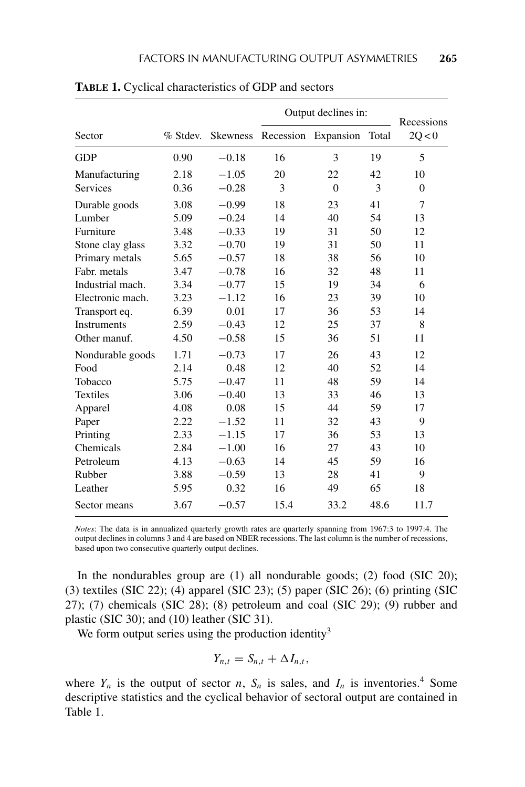|                  |          |                 | Output declines in: | Recessions |       |          |  |
|------------------|----------|-----------------|---------------------|------------|-------|----------|--|
| Sector           | % Stdev. | <b>Skewness</b> | Recession           | Expansion  | Total | 20 < 0   |  |
| <b>GDP</b>       | 0.90     | $-0.18$         | 16                  | 3          | 19    | 5        |  |
| Manufacturing    | 2.18     | $-1.05$         | 20                  | 22         | 42    | 10       |  |
| <b>Services</b>  | 0.36     | $-0.28$         | 3                   | $\Omega$   | 3     | $\Omega$ |  |
| Durable goods    | 3.08     | $-0.99$         | 18                  | 23         | 41    | 7        |  |
| Lumber           | 5.09     | $-0.24$         | 14                  | 40         | 54    | 13       |  |
| Furniture        | 3.48     | $-0.33$         | 19                  | 31         | 50    | 12       |  |
| Stone clay glass | 3.32     | $-0.70$         | 19                  | 31         | 50    | 11       |  |
| Primary metals   | 5.65     | $-0.57$         | 18                  | 38         | 56    | 10       |  |
| Fabr. metals     | 3.47     | $-0.78$         | 16                  | 32         | 48    | 11       |  |
| Industrial mach. | 3.34     | $-0.77$         | 15                  | 19         | 34    | 6        |  |
| Electronic mach. | 3.23     | $-1.12$         | 16                  | 23         | 39    | 10       |  |
| Transport eq.    | 6.39     | 0.01            | 17                  | 36         | 53    | 14       |  |
| Instruments      | 2.59     | $-0.43$         | 12                  | 25         | 37    | 8        |  |
| Other manuf.     | 4.50     | $-0.58$         | 15                  | 36         | 51    | 11       |  |
| Nondurable goods | 1.71     | $-0.73$         | 17                  | 26         | 43    | 12       |  |
| Food             | 2.14     | 0.48            | 12                  | 40         | 52    | 14       |  |
| Tobacco          | 5.75     | $-0.47$         | 11                  | 48         | 59    | 14       |  |
| <b>Textiles</b>  | 3.06     | $-0.40$         | 13                  | 33         | 46    | 13       |  |
| Apparel          | 4.08     | 0.08            | 15                  | 44         | 59    | 17       |  |
| Paper            | 2.22     | $-1.52$         | 11                  | 32         | 43    | 9        |  |
| Printing         | 2.33     | $-1.15$         | 17                  | 36         | 53    | 13       |  |
| Chemicals        | 2.84     | $-1.00$         | 16                  | 27         | 43    | 10       |  |
| Petroleum        | 4.13     | $-0.63$         | 14                  | 45         | 59    | 16       |  |
| Rubber           | 3.88     | $-0.59$         | 13                  | 28         | 41    | 9        |  |
| Leather          | 5.95     | 0.32            | 16                  | 49         | 65    | 18       |  |
| Sector means     | 3.67     | $-0.57$         | 15.4                | 33.2       | 48.6  | 11.7     |  |

**TABLE 1.** Cyclical characteristics of GDP and sectors

*Notes*: The data is in annualized quarterly growth rates are quarterly spanning from 1967:3 to 1997:4. The output declines in columns 3 and 4 are based on NBER recessions. The last column is the number of recessions, based upon two consecutive quarterly output declines.

In the nondurables group are  $(1)$  all nondurable goods;  $(2)$  food  $(SIC 20)$ ; (3) textiles (SIC 22); (4) apparel (SIC 23); (5) paper (SIC 26); (6) printing (SIC 27); (7) chemicals (SIC 28); (8) petroleum and coal (SIC 29); (9) rubber and plastic (SIC 30); and (10) leather (SIC 31).

We form output series using the production identity<sup>3</sup>

$$
Y_{n,t}=S_{n,t}+\Delta I_{n,t},
$$

where  $Y_n$  is the output of sector *n*,  $S_n$  is sales, and  $I_n$  is inventories.<sup>4</sup> Some descriptive statistics and the cyclical behavior of sectoral output are contained in Table 1.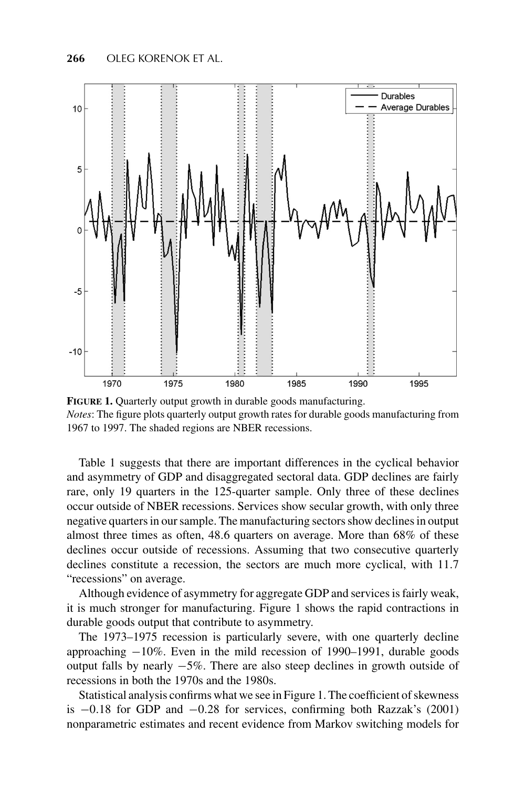

**FIGURE 1.** Quarterly output growth in durable goods manufacturing. *Notes*: The figure plots quarterly output growth rates for durable goods manufacturing from 1967 to 1997. The shaded regions are NBER recessions.

Table 1 suggests that there are important differences in the cyclical behavior and asymmetry of GDP and disaggregated sectoral data. GDP declines are fairly rare, only 19 quarters in the 125-quarter sample. Only three of these declines occur outside of NBER recessions. Services show secular growth, with only three negative quarters in our sample. The manufacturing sectors show declines in output almost three times as often, 48*.*6 quarters on average. More than 68% of these declines occur outside of recessions. Assuming that two consecutive quarterly declines constitute a recession, the sectors are much more cyclical, with 11*.*7 "recessions" on average.

Although evidence of asymmetry for aggregate GDP and services is fairly weak, it is much stronger for manufacturing. Figure 1 shows the rapid contractions in durable goods output that contribute to asymmetry.

The 1973–1975 recession is particularly severe, with one quarterly decline approaching −10%. Even in the mild recession of 1990–1991, durable goods output falls by nearly −5%. There are also steep declines in growth outside of recessions in both the 1970s and the 1980s.

Statistical analysis confirms what we see in Figure 1. The coefficient of skewness is −0*.*18 for GDP and −0*.*28 for services, confirming both Razzak's (2001) nonparametric estimates and recent evidence from Markov switching models for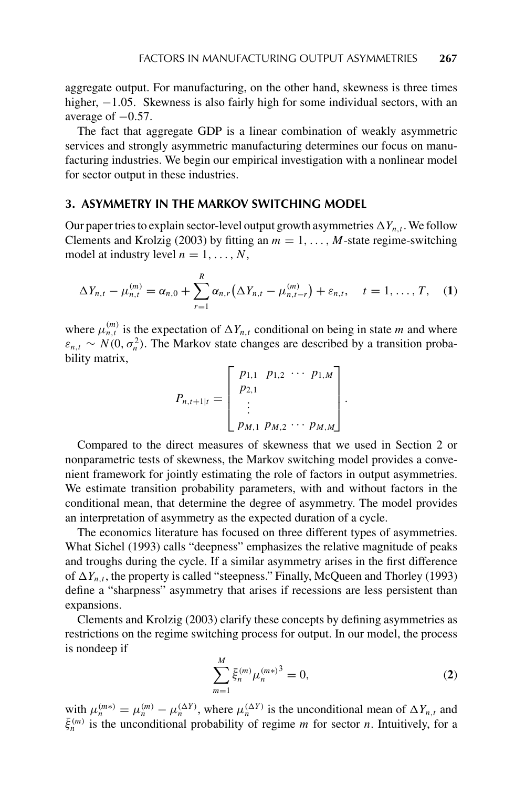aggregate output. For manufacturing, on the other hand, skewness is three times higher, −1*.*05*.* Skewness is also fairly high for some individual sectors, with an average of −0*.*57*.*

The fact that aggregate GDP is a linear combination of weakly asymmetric services and strongly asymmetric manufacturing determines our focus on manufacturing industries. We begin our empirical investigation with a nonlinear model for sector output in these industries.

## **3. ASYMMETRY IN THE MARKOV SWITCHING MODEL**

Our paper tries to explain sector-level output growth asymmetries  $\Delta Y_{n,t}$ . We follow Clements and Krolzig (2003) by fitting an  $m = 1, \ldots, M$ -state regime-switching model at industry level  $n = 1, \ldots, N$ ,

$$
\Delta Y_{n,t} - \mu_{n,t}^{(m)} = \alpha_{n,0} + \sum_{r=1}^{R} \alpha_{n,r} (\Delta Y_{n,t} - \mu_{n,t-r}^{(m)}) + \varepsilon_{n,t}, \quad t = 1, ..., T, \quad (1)
$$

where  $\mu_{n,t}^{(m)}$  is the expectation of  $\Delta Y_{n,t}$  conditional on being in state *m* and where  $\varepsilon_{n,t} \sim N(0, \sigma_n^2)$ . The Markov state changes are described by a transition probability matrix,

$$
P_{n,t+1|t} = \begin{bmatrix} p_{1,1} & p_{1,2} & \cdots & p_{1,M} \\ p_{2,1} & & \\ \vdots & & \\ p_{M,1} & p_{M,2} & \cdots & p_{M,M} \end{bmatrix}.
$$

Compared to the direct measures of skewness that we used in Section 2 or nonparametric tests of skewness, the Markov switching model provides a convenient framework for jointly estimating the role of factors in output asymmetries. We estimate transition probability parameters, with and without factors in the conditional mean, that determine the degree of asymmetry. The model provides an interpretation of asymmetry as the expected duration of a cycle.

The economics literature has focused on three different types of asymmetries. What Sichel (1993) calls "deepness" emphasizes the relative magnitude of peaks and troughs during the cycle. If a similar asymmetry arises in the first difference of  $\Delta Y_{n,t}$ , the property is called "steepness." Finally, McQueen and Thorley (1993) define a "sharpness" asymmetry that arises if recessions are less persistent than expansions.

Clements and Krolzig (2003) clarify these concepts by defining asymmetries as restrictions on the regime switching process for output. In our model, the process is nondeep if

$$
\sum_{m=1}^{M} \bar{\xi}_{n}^{(m)} \mu_{n}^{(m*)^{3}} = 0,
$$
\n(2)

with  $\mu_n^{(m*)} = \mu_n^{(m)} - \mu_n^{(\Delta Y)}$ , where  $\mu_n^{(\Delta Y)}$  is the unconditional mean of  $\Delta Y_{n,t}$  and  $\bar{\xi}_n^{(m)}$  is the unconditional probability of regime *m* for sector *n*. Intuitively, for a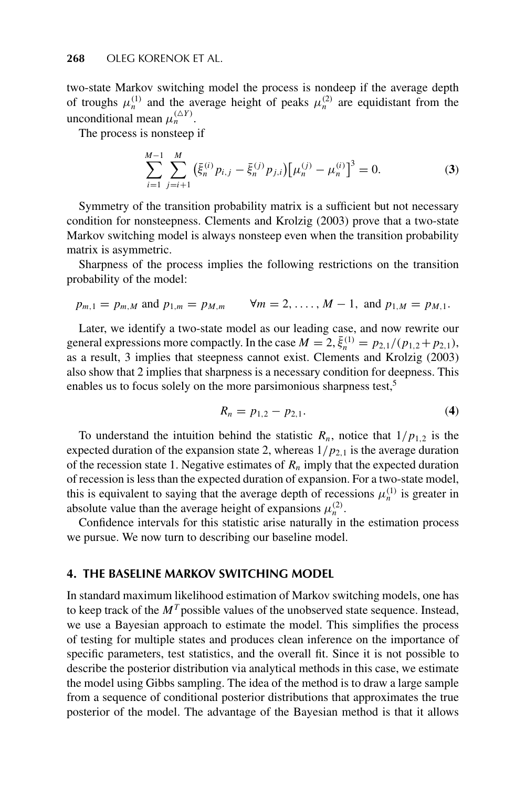two-state Markov switching model the process is nondeep if the average depth of troughs  $\mu_n^{(1)}$  and the average height of peaks  $\mu_n^{(2)}$  are equidistant from the unconditional mean  $\mu_n^{(\Delta Y)}$ .

The process is nonsteep if

$$
\sum_{i=1}^{M-1} \sum_{j=i+1}^{M} \left( \bar{\xi}_n^{(i)} p_{i,j} - \bar{\xi}_n^{(j)} p_{j,i} \right) \left[ \mu_n^{(j)} - \mu_n^{(i)} \right]^3 = 0.
$$
 (3)

Symmetry of the transition probability matrix is a sufficient but not necessary condition for nonsteepness. Clements and Krolzig (2003) prove that a two-state Markov switching model is always nonsteep even when the transition probability matrix is asymmetric.

Sharpness of the process implies the following restrictions on the transition probability of the model:

$$
p_{m,1} = p_{m,M}
$$
 and  $p_{1,m} = p_{M,m}$   $\forall m = 2, ..., M-1$ , and  $p_{1,M} = p_{M,1}$ .

Later, we identify a two-state model as our leading case, and now rewrite our general expressions more compactly. In the case  $M = 2$ ,  $\bar{\xi}_n^{(1)} = p_{2,1}/(p_{1,2} + p_{2,1})$ , as a result, 3 implies that steepness cannot exist. Clements and Krolzig (2003) also show that 2 implies that sharpness is a necessary condition for deepness. This enables us to focus solely on the more parsimonious sharpness test,<sup>5</sup>

$$
R_n = p_{1,2} - p_{2,1}.
$$
 (4)

To understand the intuition behind the statistic  $R_n$ , notice that  $1/p_{1,2}$  is the expected duration of the expansion state 2, whereas  $1/p_{2,1}$  is the average duration of the recession state 1. Negative estimates of  $R_n$  imply that the expected duration of recession is less than the expected duration of expansion. For a two-state model, this is equivalent to saying that the average depth of recessions  $\mu_n^{(1)}$  is greater in absolute value than the average height of expansions  $\mu_n^{(2)}$ .

Confidence intervals for this statistic arise naturally in the estimation process we pursue. We now turn to describing our baseline model.

# **4. THE BASELINE MARKOV SWITCHING MODEL**

In standard maximum likelihood estimation of Markov switching models, one has to keep track of the  $M<sup>T</sup>$  possible values of the unobserved state sequence. Instead, we use a Bayesian approach to estimate the model. This simplifies the process of testing for multiple states and produces clean inference on the importance of specific parameters, test statistics, and the overall fit. Since it is not possible to describe the posterior distribution via analytical methods in this case, we estimate the model using Gibbs sampling. The idea of the method is to draw a large sample from a sequence of conditional posterior distributions that approximates the true posterior of the model. The advantage of the Bayesian method is that it allows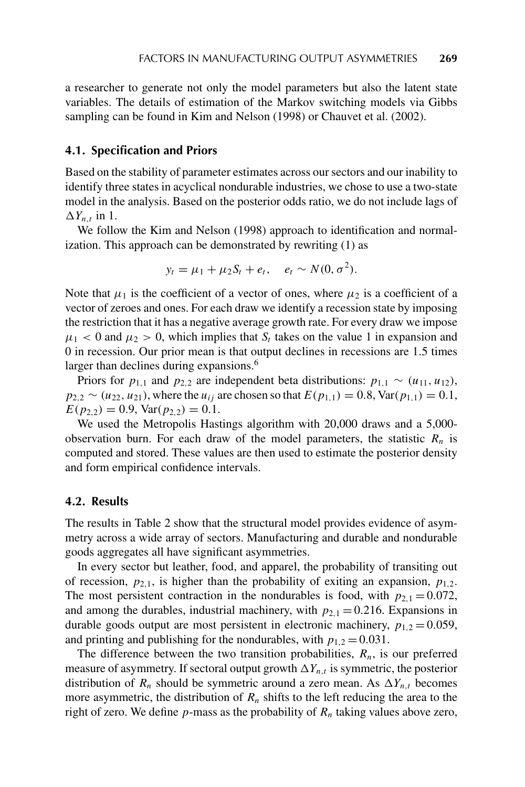a researcher to generate not only the model parameters but also the latent state variables. The details of estimation of the Markov switching models via Gibbs sampling can be found in Kim and Nelson (1998) or Chauvet et al. (2002).

#### **4.1. Specification and Priors**

Based on the stability of parameter estimates across our sectors and our inability to identify three states in acyclical nondurable industries, we chose to use a two-state model in the analysis. Based on the posterior odds ratio, we do not include lags of  $\Delta Y_{n,t}$  in 1.

We follow the Kim and Nelson (1998) approach to identification and normalization. This approach can be demonstrated by rewriting (1) as

$$
y_t = \mu_1 + \mu_2 S_t + e_t, \quad e_t \sim N(0, \sigma^2).
$$

Note that  $\mu_1$  is the coefficient of a vector of ones, where  $\mu_2$  is a coefficient of a vector of zeroes and ones. For each draw we identify a recession state by imposing the restriction that it has a negative average growth rate. For every draw we impose  $\mu_1$  < 0 and  $\mu_2$  > 0, which implies that  $S_t$  takes on the value 1 in expansion and 0 in recession. Our prior mean is that output declines in recessions are 1*.*5 times larger than declines during expansions.<sup>6</sup>

Priors for  $p_{1,1}$  and  $p_{2,2}$  are independent beta distributions:  $p_{1,1} \sim (u_{11}, u_{12})$ ,  $p_{2,2} \sim (u_{22}, u_{21})$ , where the  $u_{ij}$  are chosen so that  $E(p_{1,1}) = 0.8$ , Var $(p_{1,1}) = 0.1$ ,  $E(p_{2,2}) = 0.9$ ,  $Var(p_{2,2}) = 0.1$ .

We used the Metropolis Hastings algorithm with 20,000 draws and a 5,000 observation burn. For each draw of the model parameters, the statistic  $R_n$  is computed and stored. These values are then used to estimate the posterior density and form empirical confidence intervals.

# **4.2. Results**

The results in Table 2 show that the structural model provides evidence of asymmetry across a wide array of sectors. Manufacturing and durable and nondurable goods aggregates all have significant asymmetries.

In every sector but leather, food, and apparel, the probability of transiting out of recession,  $p_{2,1}$ , is higher than the probability of exiting an expansion,  $p_{1,2}$ . The most persistent contraction in the nondurables is food, with  $p_{2,1} = 0.072$ , and among the durables, industrial machinery, with  $p_{2,1} = 0.216$ . Expansions in durable goods output are most persistent in electronic machinery,  $p_{1,2} = 0.059$ , and printing and publishing for the nondurables, with  $p_{1,2} = 0.031$ .

The difference between the two transition probabilities,  $R_n$ , is our preferred measure of asymmetry. If sectoral output growth  $\Delta Y_{n,t}$  is symmetric, the posterior distribution of  $R_n$  should be symmetric around a zero mean. As  $\Delta Y_{n,t}$  becomes more asymmetric, the distribution of  $R_n$  shifts to the left reducing the area to the right of zero. We define  $p$ -mass as the probability of  $R_n$  taking values above zero,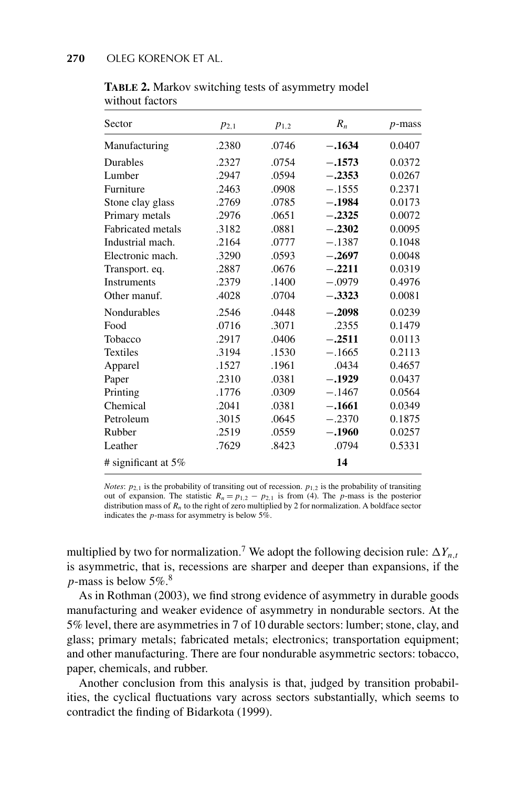| Sector                   | $p_{2,1}$ | $p_{1,2}$ | $R_n$    | $p$ -mass |
|--------------------------|-----------|-----------|----------|-----------|
| Manufacturing            | .2380     | .0746     | $-.1634$ | 0.0407    |
| <b>Durables</b>          | .2327     | .0754     | $-.1573$ | 0.0372    |
| Lumber                   | .2947     | .0594     | $-.2353$ | 0.0267    |
| Furniture                | .2463     | .0908     | $-.1555$ | 0.2371    |
| Stone clay glass         | .2769     | .0785     | $-.1984$ | 0.0173    |
| Primary metals           | .2976     | .0651     | $-.2325$ | 0.0072    |
| <b>Fabricated</b> metals | .3182     | .0881     | $-.2302$ | 0.0095    |
| Industrial mach.         | .2164     | .0777     | $-.1387$ | 0.1048    |
| Electronic mach.         | .3290     | .0593     | $-.2697$ | 0.0048    |
| Transport. eq.           | .2887     | .0676     | $-.2211$ | 0.0319    |
| <b>Instruments</b>       | .2379     | .1400     | $-.0979$ | 0.4976    |
| Other manuf.             | .4028     | .0704     | $-.3323$ | 0.0081    |
| Nondurables              | .2546     | .0448     | $-.2098$ | 0.0239    |
| Food                     | .0716     | .3071     | .2355    | 0.1479    |
| Tobacco                  | .2917     | .0406     | $-.2511$ | 0.0113    |
| <b>Textiles</b>          | .3194     | .1530     | $-.1665$ | 0.2113    |
| Apparel                  | .1527     | .1961     | .0434    | 0.4657    |
| Paper                    | .2310     | .0381     | $-.1929$ | 0.0437    |
| Printing                 | .1776     | .0309     | $-.1467$ | 0.0564    |
| Chemical                 | .2041     | .0381     | $-.1661$ | 0.0349    |
| Petroleum                | .3015     | .0645     | $-.2370$ | 0.1875    |
| Rubber                   | .2519     | .0559     | $-.1960$ | 0.0257    |
| Leather                  | .7629     | .8423     | .0794    | 0.5331    |
| # significant at $5\%$   |           |           | 14       |           |

**TABLE 2.** Markov switching tests of asymmetry model without factors

*Notes*:  $p_{2,1}$  is the probability of transiting out of recession.  $p_{1,2}$  is the probability of transiting out of expansion. The statistic  $R_n = p_{1,2} - p_{2,1}$  is from (4). The *p*-mass is the posterior distribution mass of *Rn* to the right of zero multiplied by 2 for normalization. A boldface sector indicates the *p*-mass for asymmetry is below 5%.

multiplied by two for normalization.<sup>7</sup> We adopt the following decision rule:  $\Delta Y_{n,t}$ is asymmetric, that is, recessions are sharper and deeper than expansions, if the *p*-mass is below  $5\%$ .<sup>8</sup>

As in Rothman (2003), we find strong evidence of asymmetry in durable goods manufacturing and weaker evidence of asymmetry in nondurable sectors. At the 5% level, there are asymmetries in 7 of 10 durable sectors: lumber; stone, clay, and glass; primary metals; fabricated metals; electronics; transportation equipment; and other manufacturing. There are four nondurable asymmetric sectors: tobacco, paper, chemicals, and rubber.

Another conclusion from this analysis is that, judged by transition probabilities, the cyclical fluctuations vary across sectors substantially, which seems to contradict the finding of Bidarkota (1999).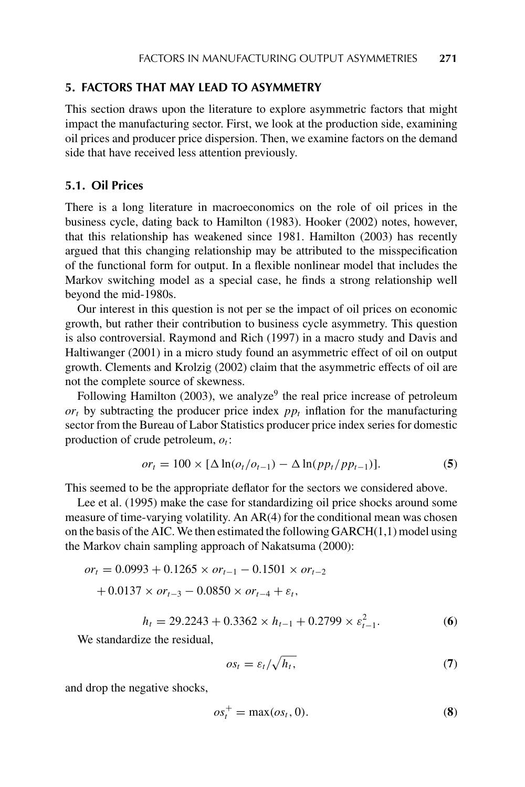# **5. FACTORS THAT MAY LEAD TO ASYMMETRY**

This section draws upon the literature to explore asymmetric factors that might impact the manufacturing sector. First, we look at the production side, examining oil prices and producer price dispersion. Then, we examine factors on the demand side that have received less attention previously.

# **5.1. Oil Prices**

There is a long literature in macroeconomics on the role of oil prices in the business cycle, dating back to Hamilton (1983). Hooker (2002) notes, however, that this relationship has weakened since 1981. Hamilton (2003) has recently argued that this changing relationship may be attributed to the misspecification of the functional form for output. In a flexible nonlinear model that includes the Markov switching model as a special case, he finds a strong relationship well beyond the mid-1980s.

Our interest in this question is not per se the impact of oil prices on economic growth, but rather their contribution to business cycle asymmetry. This question is also controversial. Raymond and Rich (1997) in a macro study and Davis and Haltiwanger (2001) in a micro study found an asymmetric effect of oil on output growth. Clements and Krolzig (2002) claim that the asymmetric effects of oil are not the complete source of skewness.

Following Hamilton (2003), we analyze<sup>9</sup> the real price increase of petroleum  $or_t$  by subtracting the producer price index  $pp_t$  inflation for the manufacturing sector from the Bureau of Labor Statistics producer price index series for domestic production of crude petroleum,  $o_t$ :

$$
or_{t} = 100 \times [\Delta \ln(o_t/o_{t-1}) - \Delta \ln(p p_t/p p_{t-1})].
$$
 (5)

This seemed to be the appropriate deflator for the sectors we considered above.

Lee et al. (1995) make the case for standardizing oil price shocks around some measure of time-varying volatility. An AR(4) for the conditional mean was chosen on the basis of the AIC. We then estimated the following  $GARCH(1,1)$  model using the Markov chain sampling approach of Nakatsuma (2000):

$$
or_{t} = 0.0993 + 0.1265 \times or_{t-1} - 0.1501 \times or_{t-2}
$$

$$
+ 0.0137 \times or_{t-3} - 0.0850 \times or_{t-4} + \varepsilon_{t},
$$

$$
h_t = 29.2243 + 0.3362 \times h_{t-1} + 0.2799 \times \varepsilon_{t-1}^2. \tag{6}
$$

We standardize the residual,

$$
os_t = \varepsilon_t / \sqrt{h_t},\tag{7}
$$

and drop the negative shocks,

$$
os_t^+ = \max (os_t, 0). \tag{8}
$$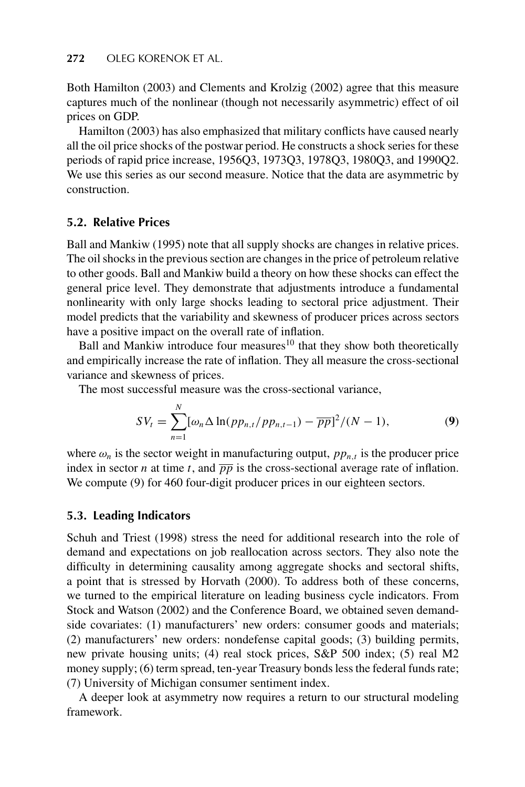Both Hamilton (2003) and Clements and Krolzig (2002) agree that this measure captures much of the nonlinear (though not necessarily asymmetric) effect of oil prices on GDP.

Hamilton (2003) has also emphasized that military conflicts have caused nearly all the oil price shocks of the postwar period. He constructs a shock series for these periods of rapid price increase, 1956Q3, 1973Q3, 1978Q3, 1980Q3, and 1990Q2. We use this series as our second measure. Notice that the data are asymmetric by construction.

# **5.2. Relative Prices**

Ball and Mankiw (1995) note that all supply shocks are changes in relative prices. The oil shocks in the previous section are changes in the price of petroleum relative to other goods. Ball and Mankiw build a theory on how these shocks can effect the general price level. They demonstrate that adjustments introduce a fundamental nonlinearity with only large shocks leading to sectoral price adjustment. Their model predicts that the variability and skewness of producer prices across sectors have a positive impact on the overall rate of inflation.

Ball and Mankiw introduce four measures<sup>10</sup> that they show both theoretically and empirically increase the rate of inflation. They all measure the cross-sectional variance and skewness of prices.

The most successful measure was the cross-sectional variance,

$$
SV_t = \sum_{n=1}^{N} [\omega_n \Delta \ln(p p_{n,t}/p p_{n,t-1}) - \overline{p p}]^2 / (N-1),
$$
 (9)

where  $\omega_n$  is the sector weight in manufacturing output,  $pp_{n,t}$  is the producer price index in sector *n* at time *t*, and  $\overline{pp}$  is the cross-sectional average rate of inflation. We compute (9) for 460 four-digit producer prices in our eighteen sectors.

# **5.3. Leading Indicators**

Schuh and Triest (1998) stress the need for additional research into the role of demand and expectations on job reallocation across sectors. They also note the difficulty in determining causality among aggregate shocks and sectoral shifts, a point that is stressed by Horvath (2000). To address both of these concerns, we turned to the empirical literature on leading business cycle indicators. From Stock and Watson (2002) and the Conference Board, we obtained seven demandside covariates: (1) manufacturers' new orders: consumer goods and materials; (2) manufacturers' new orders: nondefense capital goods; (3) building permits, new private housing units; (4) real stock prices, S&P 500 index; (5) real M2 money supply; (6) term spread, ten-year Treasury bonds less the federal funds rate; (7) University of Michigan consumer sentiment index.

A deeper look at asymmetry now requires a return to our structural modeling framework.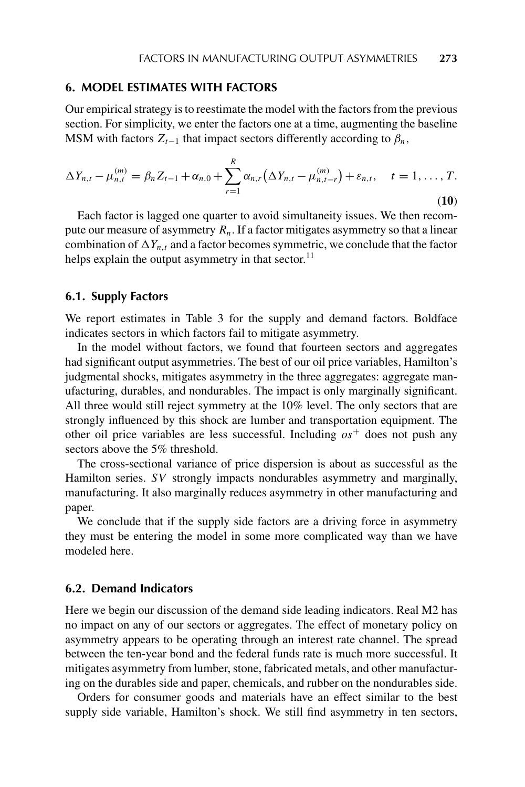## **6. MODEL ESTIMATES WITH FACTORS**

Our empirical strategy is to reestimate the model with the factors from the previous section. For simplicity, we enter the factors one at a time, augmenting the baseline MSM with factors  $Z_{t-1}$  that impact sectors differently according to  $\beta_n$ ,

$$
\Delta Y_{n,t} - \mu_{n,t}^{(m)} = \beta_n Z_{t-1} + \alpha_{n,0} + \sum_{r=1}^R \alpha_{n,r} (\Delta Y_{n,t} - \mu_{n,t-r}^{(m)}) + \varepsilon_{n,t}, \quad t = 1, \ldots, T.
$$
\n(10)

Each factor is lagged one quarter to avoid simultaneity issues. We then recompute our measure of asymmetry  $R_n$ . If a factor mitigates asymmetry so that a linear combination of  $\Delta Y_{n,t}$  and a factor becomes symmetric, we conclude that the factor helps explain the output asymmetry in that sector.<sup>11</sup>

#### **6.1. Supply Factors**

We report estimates in Table 3 for the supply and demand factors. Boldface indicates sectors in which factors fail to mitigate asymmetry.

In the model without factors, we found that fourteen sectors and aggregates had significant output asymmetries. The best of our oil price variables, Hamilton's judgmental shocks, mitigates asymmetry in the three aggregates: aggregate manufacturing, durables, and nondurables. The impact is only marginally significant. All three would still reject symmetry at the 10% level. The only sectors that are strongly influenced by this shock are lumber and transportation equipment. The other oil price variables are less successful. Including  $\alpha s^+$  does not push any sectors above the 5% threshold.

The cross-sectional variance of price dispersion is about as successful as the Hamilton series. *SV* strongly impacts nondurables asymmetry and marginally, manufacturing. It also marginally reduces asymmetry in other manufacturing and paper.

We conclude that if the supply side factors are a driving force in asymmetry they must be entering the model in some more complicated way than we have modeled here.

# **6.2. Demand Indicators**

Here we begin our discussion of the demand side leading indicators. Real M2 has no impact on any of our sectors or aggregates. The effect of monetary policy on asymmetry appears to be operating through an interest rate channel. The spread between the ten-year bond and the federal funds rate is much more successful. It mitigates asymmetry from lumber, stone, fabricated metals, and other manufacturing on the durables side and paper, chemicals, and rubber on the nondurables side.

Orders for consumer goods and materials have an effect similar to the best supply side variable, Hamilton's shock. We still find asymmetry in ten sectors,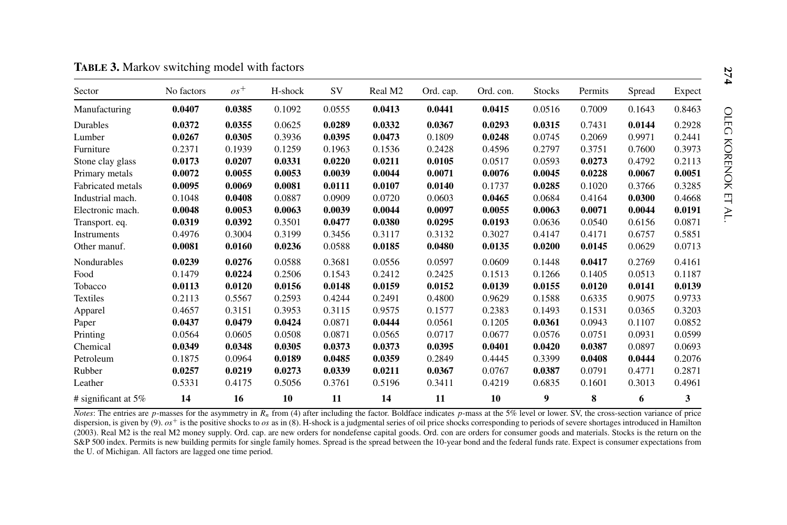| Sector                 | No factors | $os^+$ | H-shock | SV     | Real M <sub>2</sub> | Ord. cap. | Ord. con. | <b>Stocks</b> | Permits | Spread | Expect |
|------------------------|------------|--------|---------|--------|---------------------|-----------|-----------|---------------|---------|--------|--------|
| Manufacturing          | 0.0407     | 0.0385 | 0.1092  | 0.0555 | 0.0413              | 0.0441    | 0.0415    | 0.0516        | 0.7009  | 0.1643 | 0.8463 |
| Durables               | 0.0372     | 0.0355 | 0.0625  | 0.0289 | 0.0332              | 0.0367    | 0.0293    | 0.0315        | 0.7431  | 0.0144 | 0.2928 |
| Lumber                 | 0.0267     | 0.0305 | 0.3936  | 0.0395 | 0.0473              | 0.1809    | 0.0248    | 0.0745        | 0.2069  | 0.9971 | 0.2441 |
| Furniture              | 0.2371     | 0.1939 | 0.1259  | 0.1963 | 0.1536              | 0.2428    | 0.4596    | 0.2797        | 0.3751  | 0.7600 | 0.3973 |
| Stone clay glass       | 0.0173     | 0.0207 | 0.0331  | 0.0220 | 0.0211              | 0.0105    | 0.0517    | 0.0593        | 0.0273  | 0.4792 | 0.2113 |
| Primary metals         | 0.0072     | 0.0055 | 0.0053  | 0.0039 | 0.0044              | 0.0071    | 0.0076    | 0.0045        | 0.0228  | 0.0067 | 0.0051 |
| Fabricated metals      | 0.0095     | 0.0069 | 0.0081  | 0.0111 | 0.0107              | 0.0140    | 0.1737    | 0.0285        | 0.1020  | 0.3766 | 0.3285 |
| Industrial mach.       | 0.1048     | 0.0408 | 0.0887  | 0.0909 | 0.0720              | 0.0603    | 0.0465    | 0.0684        | 0.4164  | 0.0300 | 0.4668 |
| Electronic mach.       | 0.0048     | 0.0053 | 0.0063  | 0.0039 | 0.0044              | 0.0097    | 0.0055    | 0.0063        | 0.0071  | 0.0044 | 0.0191 |
| Transport. eq.         | 0.0319     | 0.0392 | 0.3501  | 0.0477 | 0.0380              | 0.0295    | 0.0193    | 0.0636        | 0.0540  | 0.6156 | 0.0871 |
| Instruments            | 0.4976     | 0.3004 | 0.3199  | 0.3456 | 0.3117              | 0.3132    | 0.3027    | 0.4147        | 0.4171  | 0.6757 | 0.5851 |
| Other manuf.           | 0.0081     | 0.0160 | 0.0236  | 0.0588 | 0.0185              | 0.0480    | 0.0135    | 0.0200        | 0.0145  | 0.0629 | 0.0713 |
| Nondurables            | 0.0239     | 0.0276 | 0.0588  | 0.3681 | 0.0556              | 0.0597    | 0.0609    | 0.1448        | 0.0417  | 0.2769 | 0.4161 |
| Food                   | 0.1479     | 0.0224 | 0.2506  | 0.1543 | 0.2412              | 0.2425    | 0.1513    | 0.1266        | 0.1405  | 0.0513 | 0.1187 |
| Tobacco                | 0.0113     | 0.0120 | 0.0156  | 0.0148 | 0.0159              | 0.0152    | 0.0139    | 0.0155        | 0.0120  | 0.0141 | 0.0139 |
| <b>Textiles</b>        | 0.2113     | 0.5567 | 0.2593  | 0.4244 | 0.2491              | 0.4800    | 0.9629    | 0.1588        | 0.6335  | 0.9075 | 0.9733 |
| Apparel                | 0.4657     | 0.3151 | 0.3953  | 0.3115 | 0.9575              | 0.1577    | 0.2383    | 0.1493        | 0.1531  | 0.0365 | 0.3203 |
| Paper                  | 0.0437     | 0.0479 | 0.0424  | 0.0871 | 0.0444              | 0.0561    | 0.1205    | 0.0361        | 0.0943  | 0.1107 | 0.0852 |
| Printing               | 0.0564     | 0.0605 | 0.0508  | 0.0871 | 0.0565              | 0.0717    | 0.0677    | 0.0576        | 0.0751  | 0.0931 | 0.0599 |
| Chemical               | 0.0349     | 0.0348 | 0.0305  | 0.0373 | 0.0373              | 0.0395    | 0.0401    | 0.0420        | 0.0387  | 0.0897 | 0.0693 |
| Petroleum              | 0.1875     | 0.0964 | 0.0189  | 0.0485 | 0.0359              | 0.2849    | 0.4445    | 0.3399        | 0.0408  | 0.0444 | 0.2076 |
| Rubber                 | 0.0257     | 0.0219 | 0.0273  | 0.0339 | 0.0211              | 0.0367    | 0.0767    | 0.0387        | 0.0791  | 0.4771 | 0.2871 |
| Leather                | 0.5331     | 0.4175 | 0.5056  | 0.3761 | 0.5196              | 0.3411    | 0.4219    | 0.6835        | 0.1601  | 0.3013 | 0.4961 |
| # significant at $5\%$ | 14         | 16     | 10      | 11     | 14                  | 11        | 10        | 9             | 8       | 6      | 3      |

*Notes*: The entries are *p*-masses for the asymmetry in *R<sub>n</sub>* from (4) after including the factor. Boldface indicates *p*-mass at the 5% level or lower. SV, the cross-section variance of price dispersion, is given by (9).  $os<sup>+</sup>$  is the positive shocks to  $os$  as in (8). H-shock is a judgmental series of oil price shocks corresponding to periods of severe shortages introduced in Hamilton (2003). Real M2 is the real M2 money supply. Ord. cap. are new orders for nondefense capital goods. Ord. con are orders for consumer goods and materials. Stocks is the return on the S&P 500 index. Permits is new building permits for single family homes. Spread is the spread between the 10-year bond and the federal funds rate. Expect is consumer expectations from the U. of Michigan. All factors are lagged one time period.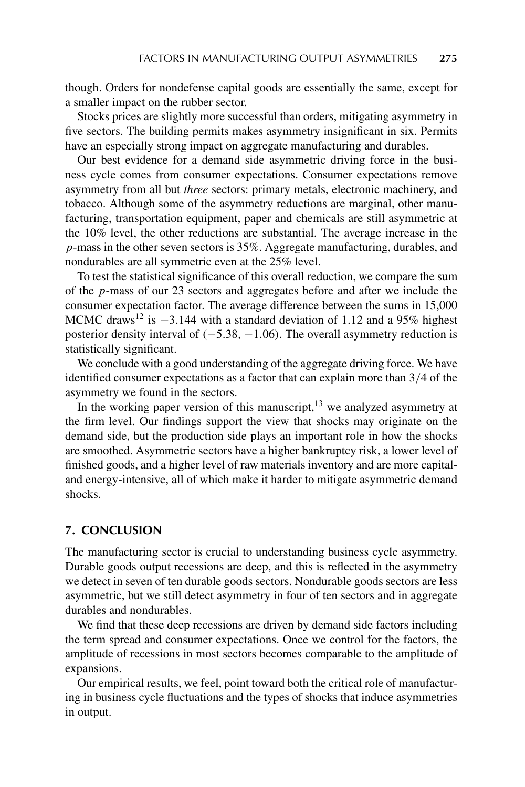though. Orders for nondefense capital goods are essentially the same, except for a smaller impact on the rubber sector.

Stocks prices are slightly more successful than orders, mitigating asymmetry in five sectors. The building permits makes asymmetry insignificant in six. Permits have an especially strong impact on aggregate manufacturing and durables.

Our best evidence for a demand side asymmetric driving force in the business cycle comes from consumer expectations. Consumer expectations remove asymmetry from all but *three* sectors: primary metals, electronic machinery, and tobacco. Although some of the asymmetry reductions are marginal, other manufacturing, transportation equipment, paper and chemicals are still asymmetric at the 10% level, the other reductions are substantial. The average increase in the *p*-mass in the other seven sectors is 35%. Aggregate manufacturing, durables, and nondurables are all symmetric even at the 25% level.

To test the statistical significance of this overall reduction, we compare the sum of the *p*-mass of our 23 sectors and aggregates before and after we include the consumer expectation factor. The average difference between the sums in 15,000 MCMC draws<sup>12</sup> is <sup>−</sup>3*.*144 with a standard deviation of 1*.*12 and a 95% highest posterior density interval of *(*−5*.*38*,* −1*.*06*)*. The overall asymmetry reduction is statistically significant.

We conclude with a good understanding of the aggregate driving force. We have identified consumer expectations as a factor that can explain more than 3*/*4 of the asymmetry we found in the sectors.

In the working paper version of this manuscript,  $13$  we analyzed asymmetry at the firm level. Our findings support the view that shocks may originate on the demand side, but the production side plays an important role in how the shocks are smoothed. Asymmetric sectors have a higher bankruptcy risk, a lower level of finished goods, and a higher level of raw materials inventory and are more capitaland energy-intensive, all of which make it harder to mitigate asymmetric demand shocks.

# **7. CONCLUSION**

The manufacturing sector is crucial to understanding business cycle asymmetry. Durable goods output recessions are deep, and this is reflected in the asymmetry we detect in seven of ten durable goods sectors. Nondurable goods sectors are less asymmetric, but we still detect asymmetry in four of ten sectors and in aggregate durables and nondurables.

We find that these deep recessions are driven by demand side factors including the term spread and consumer expectations. Once we control for the factors, the amplitude of recessions in most sectors becomes comparable to the amplitude of expansions.

Our empirical results, we feel, point toward both the critical role of manufacturing in business cycle fluctuations and the types of shocks that induce asymmetries in output.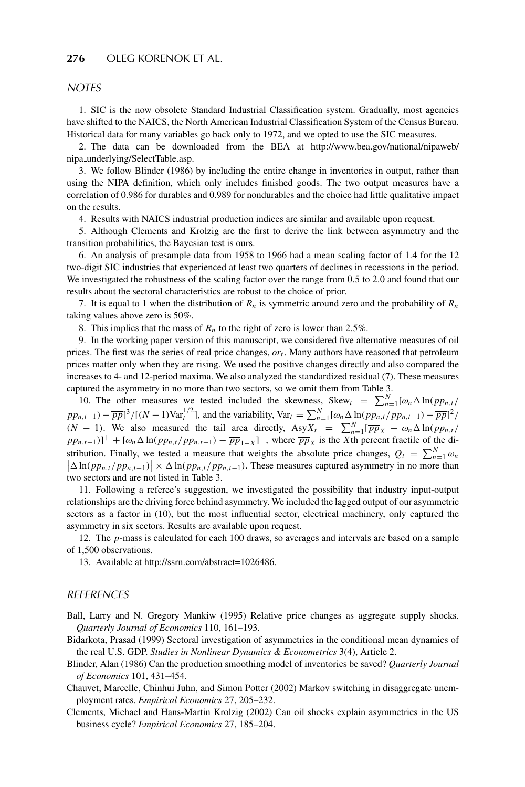## **276** OLEG KORENOK ET AL.

#### **NOTES**

1. SIC is the now obsolete Standard Industrial Classification system. Gradually, most agencies have shifted to the NAICS, the North American Industrial Classification System of the Census Bureau. Historical data for many variables go back only to 1972, and we opted to use the SIC measures.

2. The data can be downloaded from the BEA at http://www.bea.gov/national/nipaweb/ nipa underlying/SelectTable.asp.

3. We follow Blinder (1986) by including the entire change in inventories in output, rather than using the NIPA definition, which only includes finished goods. The two output measures have a correlation of 0.986 for durables and 0.989 for nondurables and the choice had little qualitative impact on the results.

4. Results with NAICS industrial production indices are similar and available upon request.

5. Although Clements and Krolzig are the first to derive the link between asymmetry and the transition probabilities, the Bayesian test is ours.

6. An analysis of presample data from 1958 to 1966 had a mean scaling factor of 1*.*4 for the 12 two-digit SIC industries that experienced at least two quarters of declines in recessions in the period. We investigated the robustness of the scaling factor over the range from 0*.*5 to 2*.*0 and found that our results about the sectoral characteristics are robust to the choice of prior.

7. It is equal to 1 when the distribution of *Rn* is symmetric around zero and the probability of *Rn* taking values above zero is 50%.

8. This implies that the mass of  $R_n$  to the right of zero is lower than 2.5%.

9. In the working paper version of this manuscript, we considered five alternative measures of oil prices. The first was the series of real price changes,  $or_t$ . Many authors have reasoned that petroleum prices matter only when they are rising. We used the positive changes directly and also compared the increases to 4- and 12-period maxima. We also analyzed the standardized residual (7). These measures captured the asymmetry in no more than two sectors, so we omit them from Table 3.

10. The other measures we tested included the skewness, Skew<sub>t</sub> =  $\sum_{n=1}^{N} [\omega_n \Delta \ln(p p_{n,t})]$  $pp_{n,t-1} - \overline{pp}]^3/[(N-1)\text{Var}_t^{1/2}]$ , and the variability,  $\text{Var}_t = \sum_{n=1}^N [\omega_n \Delta \ln(p p_{n,t}/p p_{n,t-1}) - \overline{pp}]^2/$  $(N - 1)$ . We also measured the tail area directly,  $\text{Asy}X_t = \sum_{n=1}^{N}[\overline{pp}_X - \omega_n \Delta \ln(p p_{n,t})]$  $pp_{n,t-1}$ )<sup>+</sup> +  $[\omega_n \Delta \ln(p_{n,t}/p_{n,t-1}) - \overline{pp}_{1-X}]^+$ , where  $\overline{pp}_X$  is the *X*th percent fractile of the distribution. Finally, we tested a measure that weights the absolute price changes,  $Q_t = \sum_{n=1}^{N} \omega_n$ stribution. Finally, we tested a measure that weights the absolute price changes,  $Q_t = \sum_{n=1}^{N} \omega_n |\Delta \ln(p p_{n,t}/p p_{n,t-1})| \times \Delta \ln(p p_{n,t}/p p_{n,t-1})$ . These measures captured asymmetry in no more than two sectors and are not listed in Table 3.

11. Following a referee's suggestion, we investigated the possibility that industry input-output relationships are the driving force behind asymmetry. We included the lagged output of our asymmetric sectors as a factor in (10), but the most influential sector, electrical machinery, only captured the asymmetry in six sectors. Results are available upon request.

12. The *p*-mass is calculated for each 100 draws, so averages and intervals are based on a sample of 1,500 observations.

13. Available at http://ssrn.com/abstract=1026486.

#### **REFERENCES**

Ball, Larry and N. Gregory Mankiw (1995) Relative price changes as aggregate supply shocks. *Quarterly Journal of Economics* 110, 161–193.

- Bidarkota, Prasad (1999) Sectoral investigation of asymmetries in the conditional mean dynamics of the real U.S. GDP. *Studies in Nonlinear Dynamics & Econometrics* 3(4), Article 2.
- Blinder, Alan (1986) Can the production smoothing model of inventories be saved? *Quarterly Journal of Economics* 101, 431–454.
- Chauvet, Marcelle, Chinhui Juhn, and Simon Potter (2002) Markov switching in disaggregate unemployment rates. *Empirical Economics* 27, 205–232.
- Clements, Michael and Hans-Martin Krolzig (2002) Can oil shocks explain asymmetries in the US business cycle? *Empirical Economics* 27, 185–204.